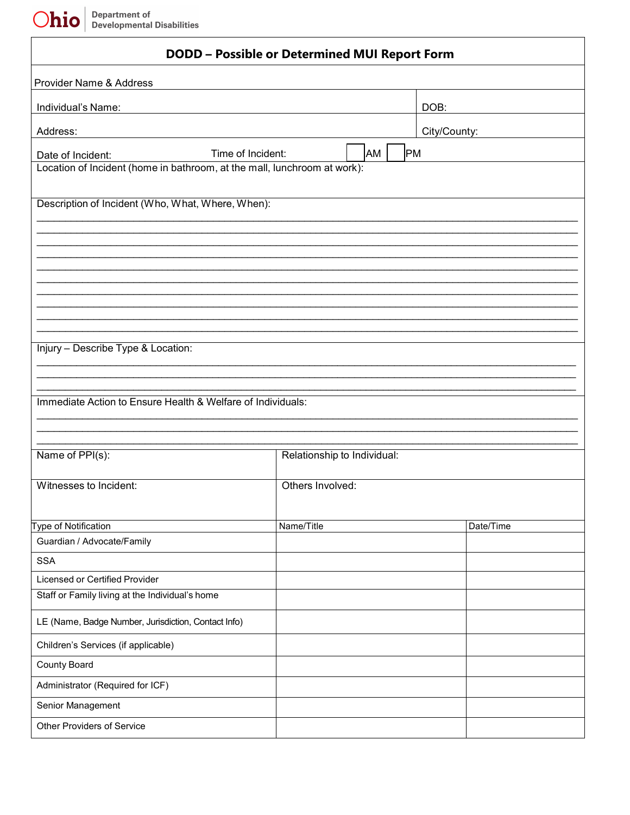Department of<br>Developmental Disabilities Ohio

| <b>DODD - Possible or Determined MUI Report Form</b>                                                               |                             |              |  |  |
|--------------------------------------------------------------------------------------------------------------------|-----------------------------|--------------|--|--|
| Provider Name & Address                                                                                            |                             |              |  |  |
| Individual's Name:                                                                                                 |                             | DOB:         |  |  |
| Address:                                                                                                           |                             | City/County: |  |  |
|                                                                                                                    |                             |              |  |  |
| Time of Incident:<br>Date of Incident:<br>Location of Incident (home in bathroom, at the mall, lunchroom at work): | AM                          | <b>PM</b>    |  |  |
|                                                                                                                    |                             |              |  |  |
| Description of Incident (Who, What, Where, When):                                                                  |                             |              |  |  |
|                                                                                                                    |                             |              |  |  |
|                                                                                                                    |                             |              |  |  |
|                                                                                                                    |                             |              |  |  |
|                                                                                                                    |                             |              |  |  |
|                                                                                                                    |                             |              |  |  |
|                                                                                                                    |                             |              |  |  |
| Injury - Describe Type & Location:                                                                                 |                             |              |  |  |
|                                                                                                                    |                             |              |  |  |
|                                                                                                                    |                             |              |  |  |
| Immediate Action to Ensure Health & Welfare of Individuals:                                                        |                             |              |  |  |
|                                                                                                                    |                             |              |  |  |
|                                                                                                                    |                             |              |  |  |
| Name of PPI(s):                                                                                                    | Relationship to Individual: |              |  |  |
| Witnesses to Incident:                                                                                             | Others Involved:            |              |  |  |
|                                                                                                                    |                             |              |  |  |
|                                                                                                                    |                             |              |  |  |
| Type of Notification<br>Guardian / Advocate/Family                                                                 | Name/Title                  | Date/Time    |  |  |
| <b>SSA</b>                                                                                                         |                             |              |  |  |
| Licensed or Certified Provider                                                                                     |                             |              |  |  |
| Staff or Family living at the Individual's home                                                                    |                             |              |  |  |
| LE (Name, Badge Number, Jurisdiction, Contact Info)                                                                |                             |              |  |  |
| Children's Services (if applicable)                                                                                |                             |              |  |  |
| <b>County Board</b>                                                                                                |                             |              |  |  |
| Administrator (Required for ICF)                                                                                   |                             |              |  |  |
| Senior Management                                                                                                  |                             |              |  |  |
| <b>Other Providers of Service</b>                                                                                  |                             |              |  |  |